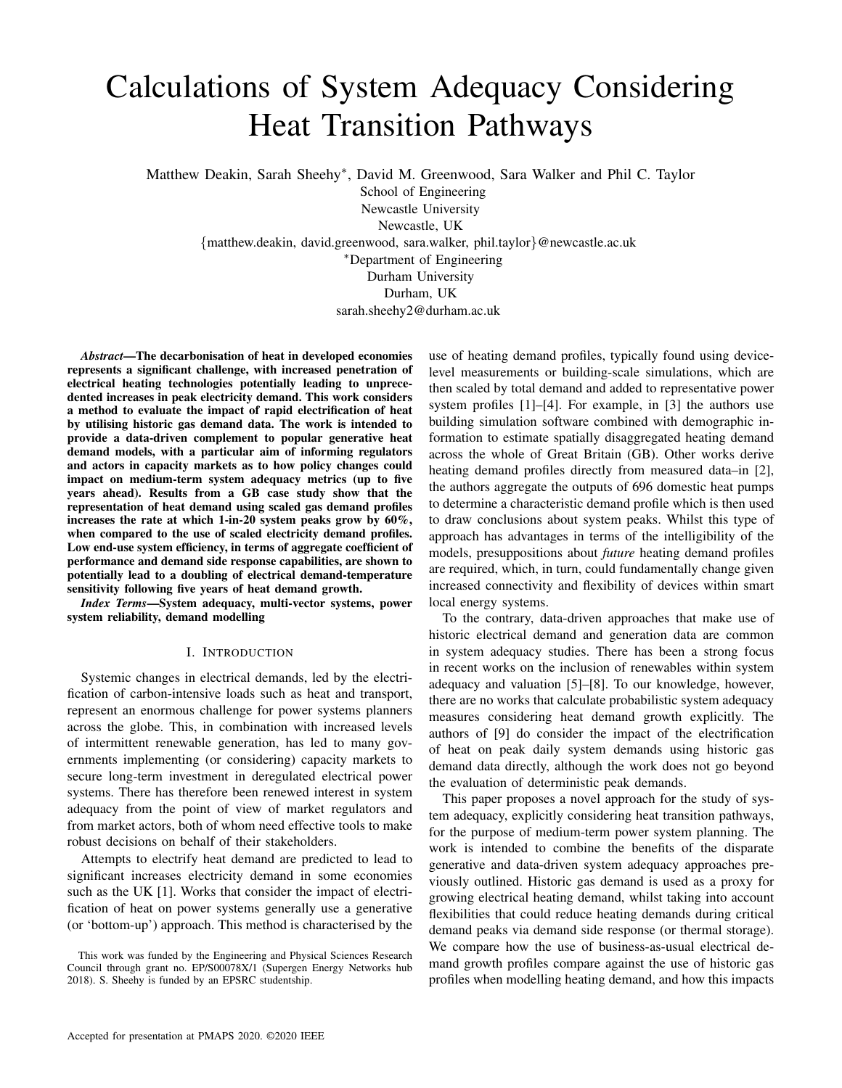# Calculations of System Adequacy Considering Heat Transition Pathways

Matthew Deakin, Sarah Sheehy<sup>∗</sup>, David M. Greenwood, Sara Walker and Phil C. Taylor

School of Engineering Newcastle University Newcastle, UK

{matthew.deakin, david.greenwood, sara.walker, phil.taylor}@newcastle.ac.uk

<sup>∗</sup>Department of Engineering

Durham University Durham, UK

sarah.sheehy2@durham.ac.uk

*Abstract*—The decarbonisation of heat in developed economies represents a significant challenge, with increased penetration of electrical heating technologies potentially leading to unprecedented increases in peak electricity demand. This work considers a method to evaluate the impact of rapid electrification of heat by utilising historic gas demand data. The work is intended to provide a data-driven complement to popular generative heat demand models, with a particular aim of informing regulators and actors in capacity markets as to how policy changes could impact on medium-term system adequacy metrics (up to five years ahead). Results from a GB case study show that the representation of heat demand using scaled gas demand profiles increases the rate at which 1-in-20 system peaks grow by 60%, when compared to the use of scaled electricity demand profiles. Low end-use system efficiency, in terms of aggregate coefficient of performance and demand side response capabilities, are shown to potentially lead to a doubling of electrical demand-temperature sensitivity following five years of heat demand growth.

*Index Terms*—System adequacy, multi-vector systems, power system reliability, demand modelling

## I. INTRODUCTION

Systemic changes in electrical demands, led by the electrification of carbon-intensive loads such as heat and transport, represent an enormous challenge for power systems planners across the globe. This, in combination with increased levels of intermittent renewable generation, has led to many governments implementing (or considering) capacity markets to secure long-term investment in deregulated electrical power systems. There has therefore been renewed interest in system adequacy from the point of view of market regulators and from market actors, both of whom need effective tools to make robust decisions on behalf of their stakeholders.

Attempts to electrify heat demand are predicted to lead to significant increases electricity demand in some economies such as the UK [1]. Works that consider the impact of electrification of heat on power systems generally use a generative (or 'bottom-up') approach. This method is characterised by the use of heating demand profiles, typically found using devicelevel measurements or building-scale simulations, which are then scaled by total demand and added to representative power system profiles [1]–[4]. For example, in [3] the authors use building simulation software combined with demographic information to estimate spatially disaggregated heating demand across the whole of Great Britain (GB). Other works derive heating demand profiles directly from measured data–in [2], the authors aggregate the outputs of 696 domestic heat pumps to determine a characteristic demand profile which is then used to draw conclusions about system peaks. Whilst this type of approach has advantages in terms of the intelligibility of the models, presuppositions about *future* heating demand profiles are required, which, in turn, could fundamentally change given increased connectivity and flexibility of devices within smart local energy systems.

To the contrary, data-driven approaches that make use of historic electrical demand and generation data are common in system adequacy studies. There has been a strong focus in recent works on the inclusion of renewables within system adequacy and valuation [5]–[8]. To our knowledge, however, there are no works that calculate probabilistic system adequacy measures considering heat demand growth explicitly. The authors of [9] do consider the impact of the electrification of heat on peak daily system demands using historic gas demand data directly, although the work does not go beyond the evaluation of deterministic peak demands.

This paper proposes a novel approach for the study of system adequacy, explicitly considering heat transition pathways, for the purpose of medium-term power system planning. The work is intended to combine the benefits of the disparate generative and data-driven system adequacy approaches previously outlined. Historic gas demand is used as a proxy for growing electrical heating demand, whilst taking into account flexibilities that could reduce heating demands during critical demand peaks via demand side response (or thermal storage). We compare how the use of business-as-usual electrical demand growth profiles compare against the use of historic gas profiles when modelling heating demand, and how this impacts

This work was funded by the Engineering and Physical Sciences Research Council through grant no. EP/S00078X/1 (Supergen Energy Networks hub 2018). S. Sheehy is funded by an EPSRC studentship.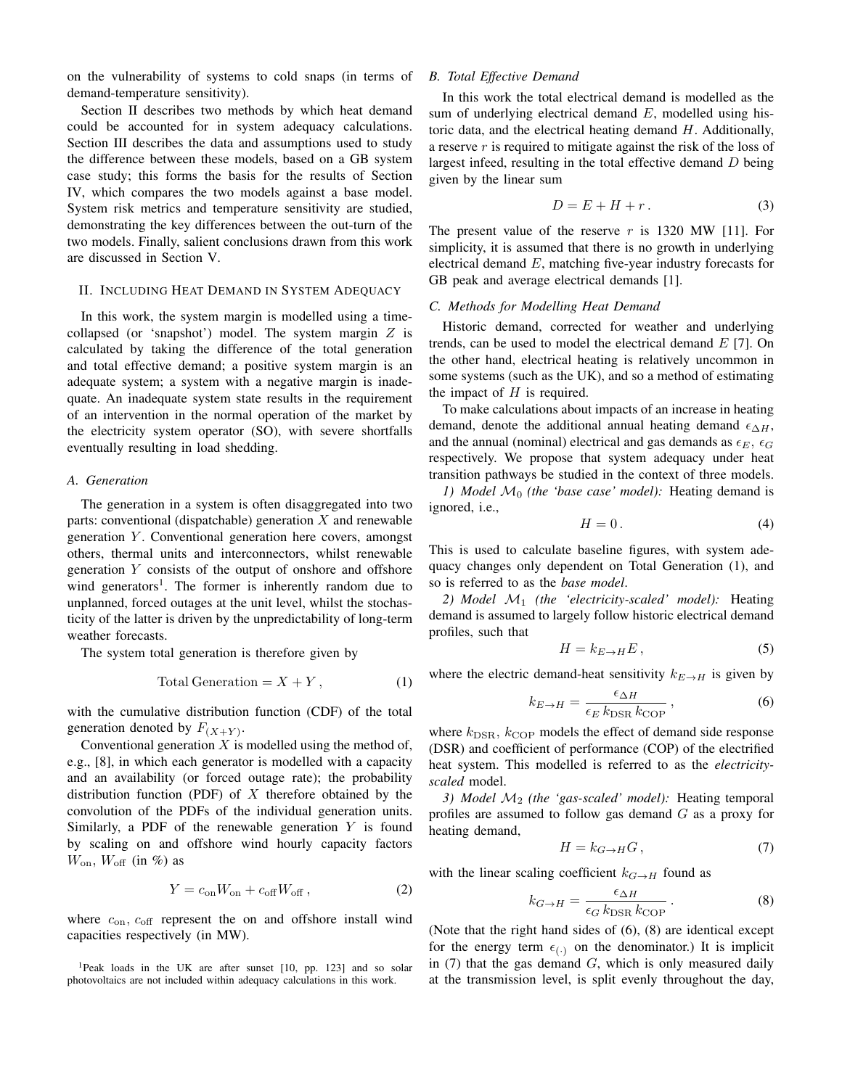on the vulnerability of systems to cold snaps (in terms of demand-temperature sensitivity).

Section II describes two methods by which heat demand could be accounted for in system adequacy calculations. Section III describes the data and assumptions used to study the difference between these models, based on a GB system case study; this forms the basis for the results of Section IV, which compares the two models against a base model. System risk metrics and temperature sensitivity are studied, demonstrating the key differences between the out-turn of the two models. Finally, salient conclusions drawn from this work are discussed in Section V.

## II. INCLUDING HEAT DEMAND IN SYSTEM ADEQUACY

In this work, the system margin is modelled using a timecollapsed (or 'snapshot') model. The system margin  $Z$  is calculated by taking the difference of the total generation and total effective demand; a positive system margin is an adequate system; a system with a negative margin is inadequate. An inadequate system state results in the requirement of an intervention in the normal operation of the market by the electricity system operator (SO), with severe shortfalls eventually resulting in load shedding.

#### *A. Generation*

The generation in a system is often disaggregated into two parts: conventional (dispatchable) generation  $X$  and renewable generation  $Y$ . Conventional generation here covers, amongst others, thermal units and interconnectors, whilst renewable generation Y consists of the output of onshore and offshore wind generators<sup>1</sup>. The former is inherently random due to unplanned, forced outages at the unit level, whilst the stochasticity of the latter is driven by the unpredictability of long-term weather forecasts.

The system total generation is therefore given by

$$
Total Generation = X + Y, \t(1)
$$

with the cumulative distribution function (CDF) of the total generation denoted by  $F_{(X+Y)}$ .

Conventional generation  $X$  is modelled using the method of, e.g., [8], in which each generator is modelled with a capacity and an availability (or forced outage rate); the probability distribution function (PDF) of  $X$  therefore obtained by the convolution of the PDFs of the individual generation units. Similarly, a PDF of the renewable generation  $Y$  is found by scaling on and offshore wind hourly capacity factors  $W_{\text{on}}$ ,  $W_{\text{off}}$  (in %) as

$$
Y = c_{\rm on} W_{\rm on} + c_{\rm off} W_{\rm off} \,,\tag{2}
$$

where  $c_{\text{on}}$ ,  $c_{\text{off}}$  represent the on and offshore install wind capacities respectively (in MW).

<sup>1</sup>Peak loads in the UK are after sunset [10, pp. 123] and so solar photovoltaics are not included within adequacy calculations in this work.

## *B. Total Effective Demand*

In this work the total electrical demand is modelled as the sum of underlying electrical demand  $E$ , modelled using historic data, and the electrical heating demand  $H$ . Additionally, a reserve r is required to mitigate against the risk of the loss of largest infeed, resulting in the total effective demand  $D$  being given by the linear sum

$$
D = E + H + r. \tag{3}
$$

The present value of the reserve  $r$  is 1320 MW [11]. For simplicity, it is assumed that there is no growth in underlying electrical demand  $E$ , matching five-year industry forecasts for GB peak and average electrical demands [1].

## *C. Methods for Modelling Heat Demand*

Historic demand, corrected for weather and underlying trends, can be used to model the electrical demand  $E$  [7]. On the other hand, electrical heating is relatively uncommon in some systems (such as the UK), and so a method of estimating the impact of  $H$  is required.

To make calculations about impacts of an increase in heating demand, denote the additional annual heating demand  $\epsilon_{\Delta H}$ , and the annual (nominal) electrical and gas demands as  $\epsilon_E$ ,  $\epsilon_G$ respectively. We propose that system adequacy under heat transition pathways be studied in the context of three models.

*1) Model*  $\mathcal{M}_0$  *(the 'base case' model):* Heating demand is ignored, i.e.,

$$
H = 0. \t\t(4)
$$

This is used to calculate baseline figures, with system adequacy changes only dependent on Total Generation (1), and so is referred to as the *base model*.

*2) Model* M<sup>1</sup> *(the 'electricity-scaled' model):* Heating demand is assumed to largely follow historic electrical demand profiles, such that

$$
H = k_{E \to H} E, \tag{5}
$$

where the electric demand-heat sensitivity  $k_{E\rightarrow H}$  is given by

$$
k_{E \to H} = \frac{\epsilon_{\Delta H}}{\epsilon_E k_{\text{DSR}} k_{\text{COP}}},\tag{6}
$$

where  $k_{\text{DSR}}$ ,  $k_{\text{COP}}$  models the effect of demand side response (DSR) and coefficient of performance (COP) of the electrified heat system. This modelled is referred to as the *electricityscaled* model.

*3) Model* M<sup>2</sup> *(the 'gas-scaled' model):* Heating temporal profiles are assumed to follow gas demand G as a proxy for heating demand,

$$
H = k_{G \to H} G, \tag{7}
$$

with the linear scaling coefficient  $k_{G\to H}$  found as

$$
k_{G \to H} = \frac{\epsilon_{\Delta H}}{\epsilon_G k_{\text{DSR}} k_{\text{COP}}}.
$$
 (8)

(Note that the right hand sides of (6), (8) are identical except for the energy term  $\epsilon_{(.)}$  on the denominator.) It is implicit in  $(7)$  that the gas demand  $G$ , which is only measured daily at the transmission level, is split evenly throughout the day,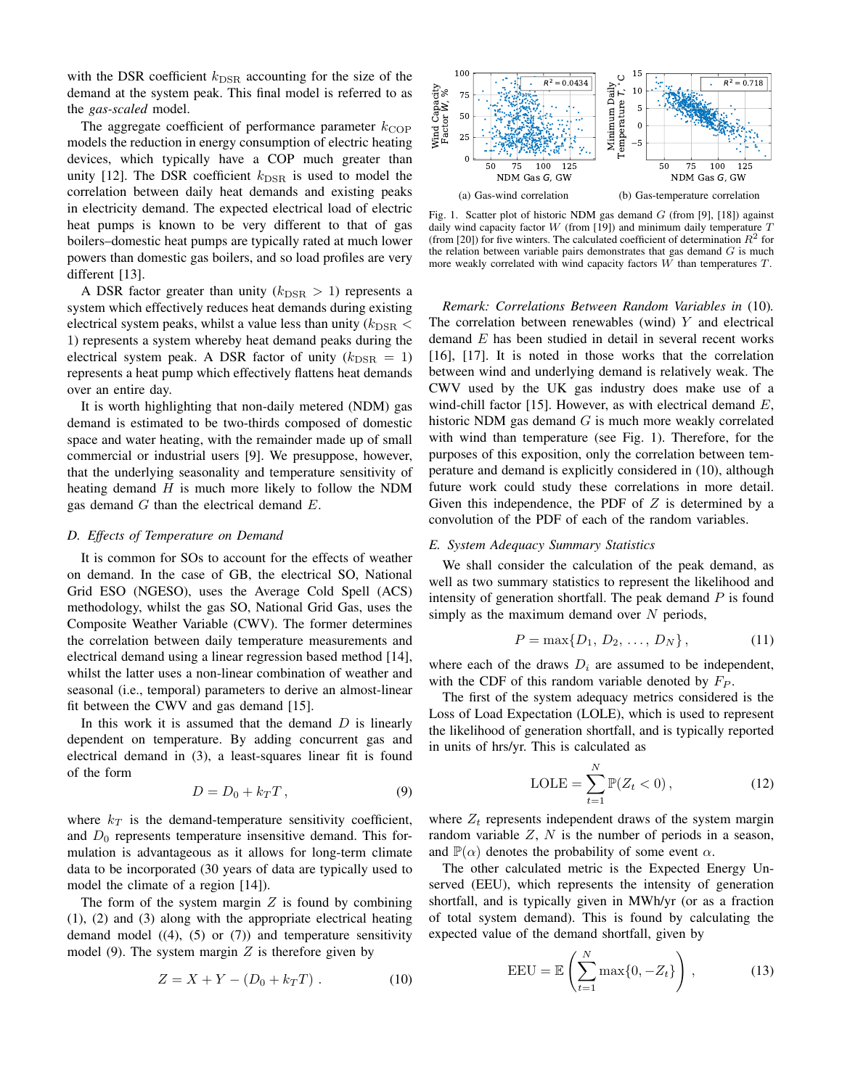with the DSR coefficient  $k_{\text{DSR}}$  accounting for the size of the demand at the system peak. This final model is referred to as the *gas-scaled* model.

The aggregate coefficient of performance parameter  $k_{\text{COP}}$ models the reduction in energy consumption of electric heating devices, which typically have a COP much greater than unity [12]. The DSR coefficient  $k_{\text{DSR}}$  is used to model the correlation between daily heat demands and existing peaks in electricity demand. The expected electrical load of electric heat pumps is known to be very different to that of gas boilers–domestic heat pumps are typically rated at much lower powers than domestic gas boilers, and so load profiles are very different [13].

A DSR factor greater than unity  $(k_{\text{DSR}} > 1)$  represents a system which effectively reduces heat demands during existing electrical system peaks, whilst a value less than unity ( $k_{\text{DSR}}$  < 1) represents a system whereby heat demand peaks during the electrical system peak. A DSR factor of unity  $(k_{\text{DSR}} = 1)$ represents a heat pump which effectively flattens heat demands over an entire day.

It is worth highlighting that non-daily metered (NDM) gas demand is estimated to be two-thirds composed of domestic space and water heating, with the remainder made up of small commercial or industrial users [9]. We presuppose, however, that the underlying seasonality and temperature sensitivity of heating demand  $H$  is much more likely to follow the NDM gas demand  $G$  than the electrical demand  $E$ .

#### *D. Effects of Temperature on Demand*

It is common for SOs to account for the effects of weather on demand. In the case of GB, the electrical SO, National Grid ESO (NGESO), uses the Average Cold Spell (ACS) methodology, whilst the gas SO, National Grid Gas, uses the Composite Weather Variable (CWV). The former determines the correlation between daily temperature measurements and electrical demand using a linear regression based method [14], whilst the latter uses a non-linear combination of weather and seasonal (i.e., temporal) parameters to derive an almost-linear fit between the CWV and gas demand [15].

In this work it is assumed that the demand  $D$  is linearly dependent on temperature. By adding concurrent gas and electrical demand in (3), a least-squares linear fit is found of the form

$$
D = D_0 + k_T T, \qquad (9)
$$

where  $k_T$  is the demand-temperature sensitivity coefficient, and  $D_0$  represents temperature insensitive demand. This formulation is advantageous as it allows for long-term climate data to be incorporated (30 years of data are typically used to model the climate of a region [14]).

The form of the system margin  $Z$  is found by combining (1), (2) and (3) along with the appropriate electrical heating demand model  $((4), (5)$  or  $(7))$  and temperature sensitivity model (9). The system margin  $Z$  is therefore given by

$$
Z = X + Y - (D_0 + k_T T) . \t(10)
$$



Fig. 1. Scatter plot of historic NDM gas demand  $G$  (from [9], [18]) against daily wind capacity factor  $W$  (from [19]) and minimum daily temperature  $T$ (from [20]) for five winters. The calculated coefficient of determination  $R^2$  for the relation between variable pairs demonstrates that gas demand  $G$  is much more weakly correlated with wind capacity factors W than temperatures T.

*Remark: Correlations Between Random Variables in* (10)*.* The correlation between renewables (wind)  $Y$  and electrical demand E has been studied in detail in several recent works [16], [17]. It is noted in those works that the correlation between wind and underlying demand is relatively weak. The CWV used by the UK gas industry does make use of a wind-chill factor [15]. However, as with electrical demand  $E$ , historic NDM gas demand  $G$  is much more weakly correlated with wind than temperature (see Fig. 1). Therefore, for the purposes of this exposition, only the correlation between temperature and demand is explicitly considered in (10), although future work could study these correlations in more detail. Given this independence, the PDF of  $Z$  is determined by a convolution of the PDF of each of the random variables.

## *E. System Adequacy Summary Statistics*

We shall consider the calculation of the peak demand, as well as two summary statistics to represent the likelihood and intensity of generation shortfall. The peak demand  $P$  is found simply as the maximum demand over  $N$  periods,

$$
P = \max\{D_1, D_2, \dots, D_N\},\tag{11}
$$

where each of the draws  $D_i$  are assumed to be independent, with the CDF of this random variable denoted by  $F_P$ .

The first of the system adequacy metrics considered is the Loss of Load Expectation (LOLE), which is used to represent the likelihood of generation shortfall, and is typically reported in units of hrs/yr. This is calculated as

$$
LOLE = \sum_{t=1}^{N} \mathbb{P}(Z_t < 0), \qquad (12)
$$

where  $Z_t$  represents independent draws of the system margin random variable  $Z$ ,  $N$  is the number of periods in a season, and  $\mathbb{P}(\alpha)$  denotes the probability of some event  $\alpha$ .

The other calculated metric is the Expected Energy Unserved (EEU), which represents the intensity of generation shortfall, and is typically given in MWh/yr (or as a fraction of total system demand). This is found by calculating the expected value of the demand shortfall, given by

$$
EEU = \mathbb{E}\left(\sum_{t=1}^{N} \max\{0, -Z_t\}\right),\tag{13}
$$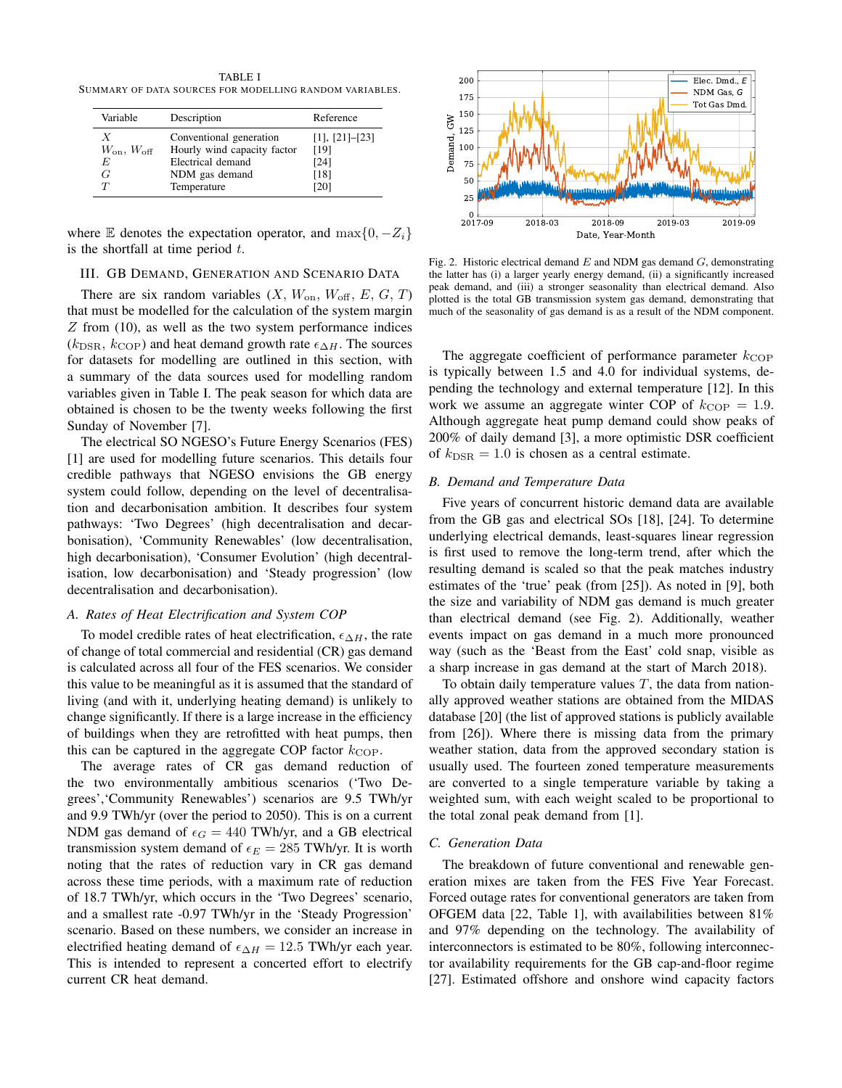TABLE I SUMMARY OF DATA SOURCES FOR MODELLING RANDOM VARIABLES.

| Variable                                  | Description                                                                                                  | Reference                                               |
|-------------------------------------------|--------------------------------------------------------------------------------------------------------------|---------------------------------------------------------|
| $W_{\rm on}, W_{\rm off}$<br>F,<br>G<br>T | Conventional generation<br>Hourly wind capacity factor<br>Electrical demand<br>NDM gas demand<br>Temperature | $[1]$ , $[21]$ - $[23]$<br>[19]<br>[24]<br>[18]<br>[20] |

where E denotes the expectation operator, and  $\max\{0, -Z_i\}$ is the shortfall at time period  $t$ .

## III. GB DEMAND, GENERATION AND SCENARIO DATA

There are six random variables  $(X, W_{\text{on}}, W_{\text{off}}, E, G, T)$ that must be modelled for the calculation of the system margin Z from (10), as well as the two system performance indices  $(k_{\text{DSR}}, k_{\text{COP}})$  and heat demand growth rate  $\epsilon_{\Delta H}$ . The sources for datasets for modelling are outlined in this section, with a summary of the data sources used for modelling random variables given in Table I. The peak season for which data are obtained is chosen to be the twenty weeks following the first Sunday of November [7].

The electrical SO NGESO's Future Energy Scenarios (FES) [1] are used for modelling future scenarios. This details four credible pathways that NGESO envisions the GB energy system could follow, depending on the level of decentralisation and decarbonisation ambition. It describes four system pathways: 'Two Degrees' (high decentralisation and decarbonisation), 'Community Renewables' (low decentralisation, high decarbonisation), 'Consumer Evolution' (high decentralisation, low decarbonisation) and 'Steady progression' (low decentralisation and decarbonisation).

#### *A. Rates of Heat Electrification and System COP*

To model credible rates of heat electrification,  $\epsilon_{\Delta H}$ , the rate of change of total commercial and residential (CR) gas demand is calculated across all four of the FES scenarios. We consider this value to be meaningful as it is assumed that the standard of living (and with it, underlying heating demand) is unlikely to change significantly. If there is a large increase in the efficiency of buildings when they are retrofitted with heat pumps, then this can be captured in the aggregate COP factor  $k_{\text{COP}}$ .

The average rates of CR gas demand reduction of the two environmentally ambitious scenarios ('Two Degrees','Community Renewables') scenarios are 9.5 TWh/yr and 9.9 TWh/yr (over the period to 2050). This is on a current NDM gas demand of  $\epsilon_G = 440$  TWh/yr, and a GB electrical transmission system demand of  $\epsilon_E = 285$  TWh/yr. It is worth noting that the rates of reduction vary in CR gas demand across these time periods, with a maximum rate of reduction of 18.7 TWh/yr, which occurs in the 'Two Degrees' scenario, and a smallest rate -0.97 TWh/yr in the 'Steady Progression' scenario. Based on these numbers, we consider an increase in electrified heating demand of  $\epsilon_{\Delta H} = 12.5$  TWh/yr each year. This is intended to represent a concerted effort to electrify current CR heat demand.



Fig. 2. Historic electrical demand  $E$  and NDM gas demand  $G$ , demonstrating the latter has (i) a larger yearly energy demand, (ii) a significantly increased peak demand, and (iii) a stronger seasonality than electrical demand. Also plotted is the total GB transmission system gas demand, demonstrating that much of the seasonality of gas demand is as a result of the NDM component.

The aggregate coefficient of performance parameter  $k_{\text{COP}}$ is typically between 1.5 and 4.0 for individual systems, depending the technology and external temperature [12]. In this work we assume an aggregate winter COP of  $k_{\text{COP}} = 1.9$ . Although aggregate heat pump demand could show peaks of 200% of daily demand [3], a more optimistic DSR coefficient of  $k_{\text{DSR}} = 1.0$  is chosen as a central estimate.

## *B. Demand and Temperature Data*

Five years of concurrent historic demand data are available from the GB gas and electrical SOs [18], [24]. To determine underlying electrical demands, least-squares linear regression is first used to remove the long-term trend, after which the resulting demand is scaled so that the peak matches industry estimates of the 'true' peak (from [25]). As noted in [9], both the size and variability of NDM gas demand is much greater than electrical demand (see Fig. 2). Additionally, weather events impact on gas demand in a much more pronounced way (such as the 'Beast from the East' cold snap, visible as a sharp increase in gas demand at the start of March 2018).

To obtain daily temperature values  $T$ , the data from nationally approved weather stations are obtained from the MIDAS database [20] (the list of approved stations is publicly available from [26]). Where there is missing data from the primary weather station, data from the approved secondary station is usually used. The fourteen zoned temperature measurements are converted to a single temperature variable by taking a weighted sum, with each weight scaled to be proportional to the total zonal peak demand from [1].

#### *C. Generation Data*

The breakdown of future conventional and renewable generation mixes are taken from the FES Five Year Forecast. Forced outage rates for conventional generators are taken from OFGEM data [22, Table 1], with availabilities between 81% and 97% depending on the technology. The availability of interconnectors is estimated to be 80%, following interconnector availability requirements for the GB cap-and-floor regime [27]. Estimated offshore and onshore wind capacity factors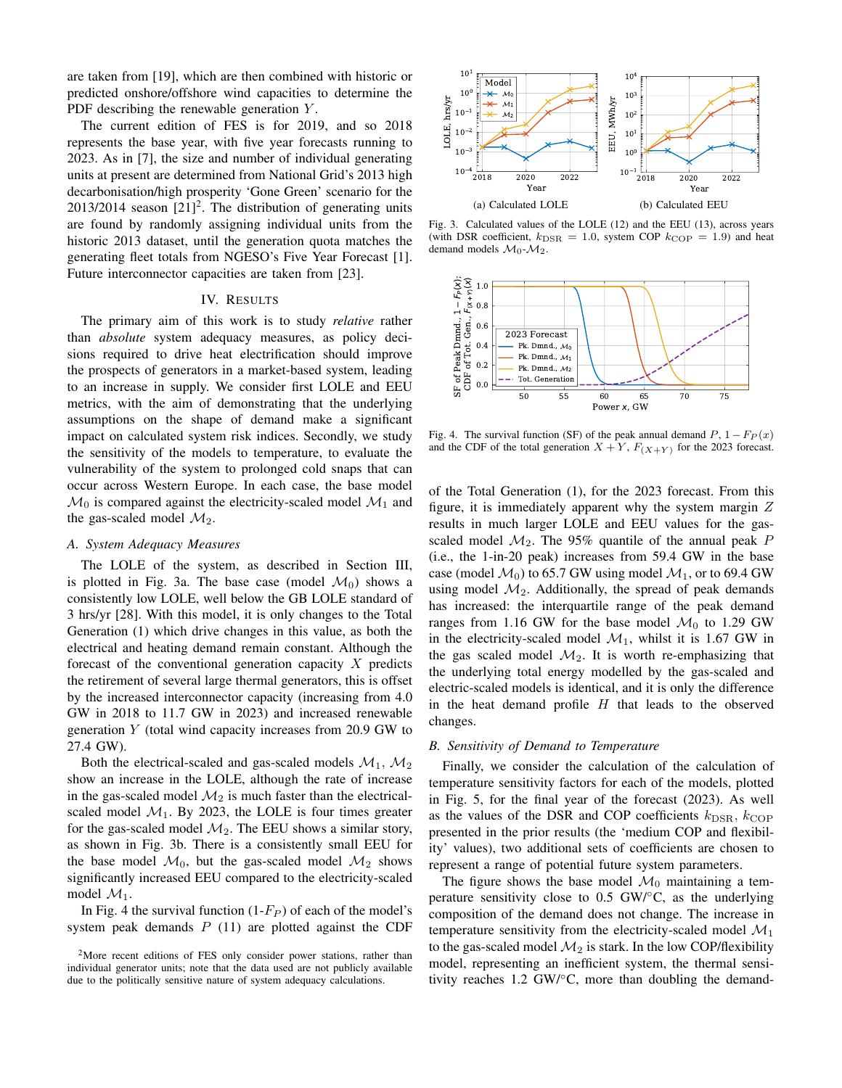are taken from [19], which are then combined with historic or predicted onshore/offshore wind capacities to determine the PDF describing the renewable generation Y.

The current edition of FES is for 2019, and so 2018 represents the base year, with five year forecasts running to 2023. As in [7], the size and number of individual generating units at present are determined from National Grid's 2013 high decarbonisation/high prosperity 'Gone Green' scenario for the  $2013/2014$  season  $[21]^2$ . The distribution of generating units are found by randomly assigning individual units from the historic 2013 dataset, until the generation quota matches the generating fleet totals from NGESO's Five Year Forecast [1]. Future interconnector capacities are taken from [23].

### IV. RESULTS

The primary aim of this work is to study *relative* rather than *absolute* system adequacy measures, as policy decisions required to drive heat electrification should improve the prospects of generators in a market-based system, leading to an increase in supply. We consider first LOLE and EEU metrics, with the aim of demonstrating that the underlying assumptions on the shape of demand make a significant impact on calculated system risk indices. Secondly, we study the sensitivity of the models to temperature, to evaluate the vulnerability of the system to prolonged cold snaps that can occur across Western Europe. In each case, the base model  $\mathcal{M}_0$  is compared against the electricity-scaled model  $\mathcal{M}_1$  and the gas-scaled model  $\mathcal{M}_2$ .

## *A. System Adequacy Measures*

The LOLE of the system, as described in Section III, is plotted in Fig. 3a. The base case (model  $\mathcal{M}_0$ ) shows a consistently low LOLE, well below the GB LOLE standard of 3 hrs/yr [28]. With this model, it is only changes to the Total Generation (1) which drive changes in this value, as both the electrical and heating demand remain constant. Although the forecast of the conventional generation capacity  $X$  predicts the retirement of several large thermal generators, this is offset by the increased interconnector capacity (increasing from 4.0 GW in 2018 to 11.7 GW in 2023) and increased renewable generation Y (total wind capacity increases from 20.9 GW to 27.4 GW).

Both the electrical-scaled and gas-scaled models  $\mathcal{M}_1$ ,  $\mathcal{M}_2$ show an increase in the LOLE, although the rate of increase in the gas-scaled model  $\mathcal{M}_2$  is much faster than the electricalscaled model  $M_1$ . By 2023, the LOLE is four times greater for the gas-scaled model  $\mathcal{M}_2$ . The EEU shows a similar story, as shown in Fig. 3b. There is a consistently small EEU for the base model  $\mathcal{M}_0$ , but the gas-scaled model  $\mathcal{M}_2$  shows significantly increased EEU compared to the electricity-scaled model  $\mathcal{M}_1$ .

In Fig. 4 the survival function  $(1-F_P)$  of each of the model's system peak demands  $P$  (11) are plotted against the CDF



Fig. 3. Calculated values of the LOLE (12) and the EEU (13), across years (with DSR coefficient,  $k_{\text{DSR}} = 1.0$ , system COP  $k_{\text{COP}} = 1.9$ ) and heat demand models  $\mathcal{M}_0$ - $\mathcal{M}_2$ .



Fig. 4. The survival function (SF) of the peak annual demand  $P$ ,  $1 - F_P(x)$ and the CDF of the total generation  $X + Y$ ,  $F_{(X+Y)}$  for the 2023 forecast.

of the Total Generation (1), for the 2023 forecast. From this figure, it is immediately apparent why the system margin  $Z$ results in much larger LOLE and EEU values for the gasscaled model  $M_2$ . The 95% quantile of the annual peak P (i.e., the 1-in-20 peak) increases from 59.4 GW in the base case (model  $\mathcal{M}_0$ ) to 65.7 GW using model  $\mathcal{M}_1$ , or to 69.4 GW using model  $\mathcal{M}_2$ . Additionally, the spread of peak demands has increased: the interquartile range of the peak demand ranges from 1.16 GW for the base model  $\mathcal{M}_0$  to 1.29 GW in the electricity-scaled model  $\mathcal{M}_1$ , whilst it is 1.67 GW in the gas scaled model  $\mathcal{M}_2$ . It is worth re-emphasizing that the underlying total energy modelled by the gas-scaled and electric-scaled models is identical, and it is only the difference in the heat demand profile  $H$  that leads to the observed changes.

## *B. Sensitivity of Demand to Temperature*

Finally, we consider the calculation of the calculation of temperature sensitivity factors for each of the models, plotted in Fig. 5, for the final year of the forecast (2023). As well as the values of the DSR and COP coefficients  $k_{\text{DSR}}$ ,  $k_{\text{COP}}$ presented in the prior results (the 'medium COP and flexibility' values), two additional sets of coefficients are chosen to represent a range of potential future system parameters.

The figure shows the base model  $\mathcal{M}_0$  maintaining a temperature sensitivity close to 0.5 GW/°C, as the underlying composition of the demand does not change. The increase in temperature sensitivity from the electricity-scaled model  $\mathcal{M}_1$ to the gas-scaled model  $\mathcal{M}_2$  is stark. In the low COP/flexibility model, representing an inefficient system, the thermal sensitivity reaches 1.2 GW/◦C, more than doubling the demand-

<sup>&</sup>lt;sup>2</sup>More recent editions of FES only consider power stations, rather than individual generator units; note that the data used are not publicly available due to the politically sensitive nature of system adequacy calculations.